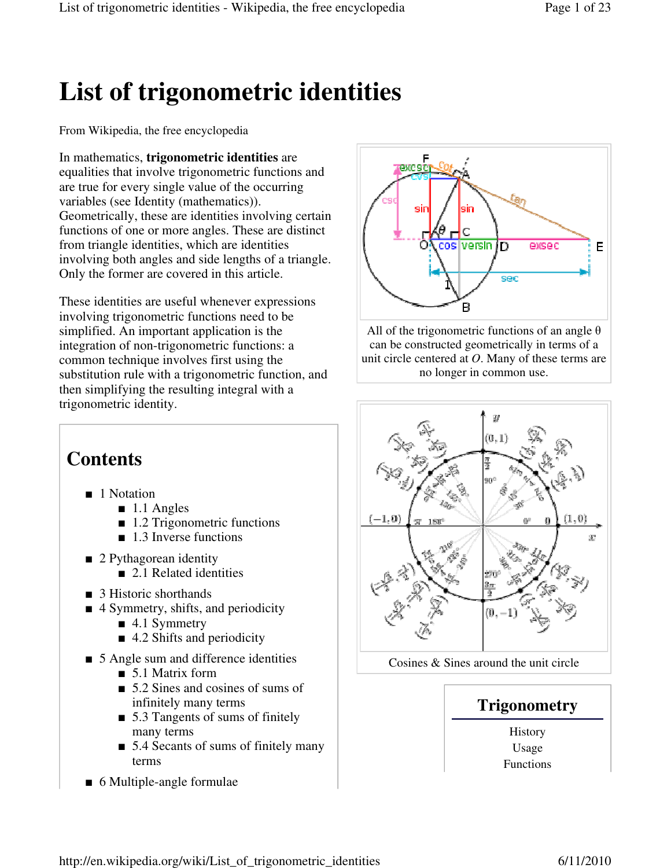# **List of trigonometric identities**

From Wikipedia, the free encyclopedia

In mathematics, **trigonometric identities** are equalities that involve trigonometric functions and are true for every single value of the occurring variables (see Identity (mathematics)). Geometrically, these are identities involving certain functions of one or more angles. These are distinct from triangle identities, which are identities involving both angles and side lengths of a triangle. Only the former are covered in this article.

These identities are useful whenever expressions involving trigonometric functions need to be simplified. An important application is the integration of non-trigonometric functions: a common technique involves first using the substitution rule with a trigonometric function, and then simplifying the resulting integral with a trigonometric identity.



All of the trigonometric functions of an angle  $\theta$ can be constructed geometrically in terms of a unit circle centered at *O*. Many of these terms are no longer in common use.



Cosines & Sines around the unit circle



Usage Functions

# **Contents**

- 1 Notation
	- $\blacksquare$  1.1 Angles
	- 1.2 Trigonometric functions
	- 1.3 Inverse functions
- 2 Pythagorean identity ■ 2.1 Related identities
- 3 Historic shorthands
- 4 Symmetry, shifts, and periodicity
	- 4.1 Symmetry
	- 4.2 Shifts and periodicity
- 5 Angle sum and difference identities
	- 5.1 Matrix form
	- 5.2 Sines and cosines of sums of infinitely many terms
	- 5.3 Tangents of sums of finitely many terms
	- 5.4 Secants of sums of finitely many terms
- 6 Multiple-angle formulae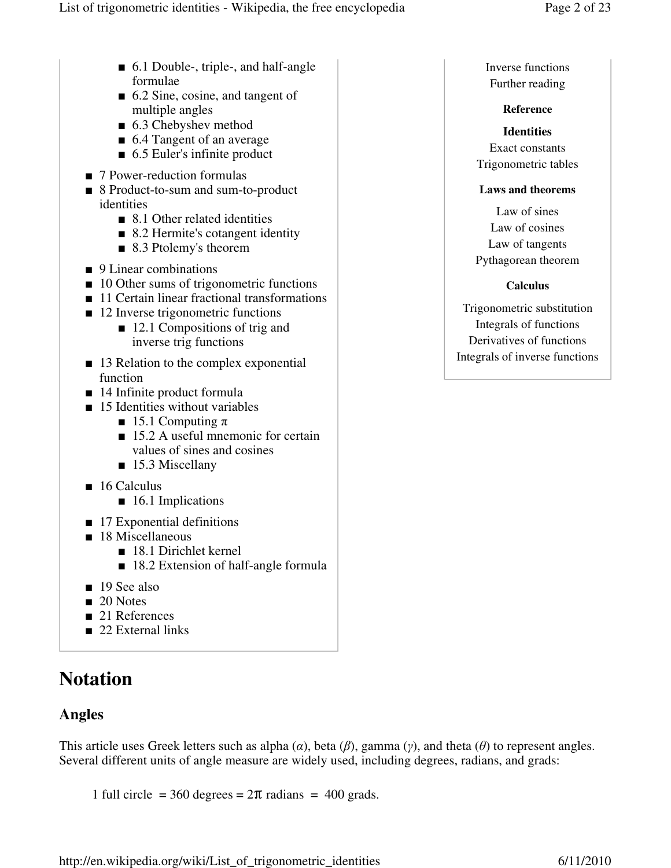- 6.1 Double-, triple-, and half-angle formulae
- 6.2 Sine, cosine, and tangent of multiple angles
- 6.3 Chebyshev method
- 6.4 Tangent of an average
- 6.5 Euler's infinite product
- 7 Power-reduction formulas
- 8 Product-to-sum and sum-to-product identities
	- 8.1 Other related identities
	- 8.2 Hermite's cotangent identity
	- 8.3 Ptolemy's theorem
- 9 Linear combinations
- 10 Other sums of trigonometric functions
- 11 Certain linear fractional transformations
- 12 Inverse trigonometric functions
	- 12.1 Compositions of trig and inverse trig functions
- 13 Relation to the complex exponential function
- 14 Infinite product formula
- 15 Identities without variables
	- 15.1 Computing  $π$
	- 15.2 A useful mnemonic for certain values of sines and cosines
	- 15.3 Miscellany
- 16 Calculus
	- 16.1 Implications
- 17 Exponential definitions
- 18 Miscellaneous
	- 18.1 Dirichlet kernel
	- 18.2 Extension of half-angle formula
- 19 See also
- 20 Notes
- 21 References
- 22 External links

# **Notation**

### **Angles**

This article uses Greek letters such as alpha  $(\alpha)$ , beta  $(\beta)$ , gamma  $(\gamma)$ , and theta  $(\theta)$  to represent angles. Several different units of angle measure are widely used, including degrees, radians, and grads:

1 full circle = 360 degrees =  $2\pi$  radians = 400 grads.

Inverse functions Further reading

### **Reference**

**Identities** Exact constants Trigonometric tables

### **Laws and theorems**

Law of sines Law of cosines Law of tangents Pythagorean theorem

### **Calculus**

Trigonometric substitution Integrals of functions Derivatives of functions Integrals of inverse functions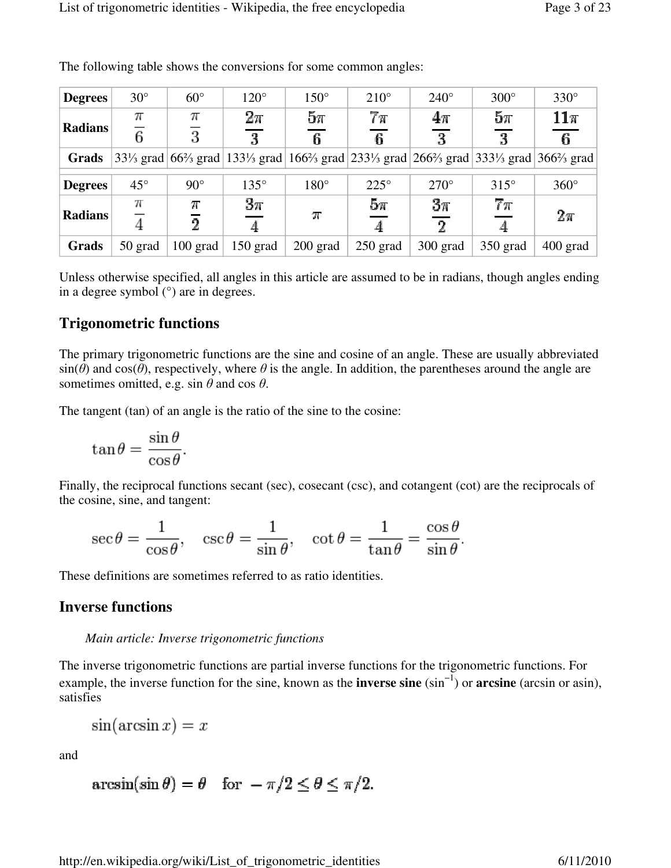| <b>Degrees</b> | $30^\circ$   | $60^\circ$     | $120^\circ$                                                                                                                                                                                                                                                                                           | $150^\circ$ | $210^\circ$ | $240^\circ$ | $300^\circ$ | $330^\circ$ |
|----------------|--------------|----------------|-------------------------------------------------------------------------------------------------------------------------------------------------------------------------------------------------------------------------------------------------------------------------------------------------------|-------------|-------------|-------------|-------------|-------------|
| <b>Radians</b> | π            | π              | $2\pi$                                                                                                                                                                                                                                                                                                | $5\pi$      | $7\pi$      | $4\pi$      | $5\pi$      | $11\pi$     |
|                | 6            | 3              | 3                                                                                                                                                                                                                                                                                                     | 6.          | 6           | 3           | 3           | 6.          |
| Grads          |              |                | 33 <sup>1</sup> / <sub>3</sub> grad 66 <sup>2</sup> / <sub>3</sub> grad 133 <sup>1</sup> / <sub>3</sub> grad 166 <sup>2</sup> / <sub>3</sub> grad 233 <sup>1</sup> / <sub>3</sub> grad 266 <sup>2</sup> / <sub>3</sub> grad 333 <sup>1</sup> / <sub>3</sub> grad 366 <sup>2</sup> / <sub>3</sub> grad |             |             |             |             |             |
| <b>Degrees</b> | $45^{\circ}$ | $90^\circ$     | $135^\circ$                                                                                                                                                                                                                                                                                           | $180^\circ$ | $225^\circ$ | $270^\circ$ | $315^\circ$ | $360^\circ$ |
| <b>Radians</b> | π            | N              | $3\pi$                                                                                                                                                                                                                                                                                                | $\pi$       | $5\pi$      | $3\pi$      | $7\pi$      | $2\pi$      |
|                |              | $\overline{2}$ |                                                                                                                                                                                                                                                                                                       |             |             | റ           |             |             |
| Grads          | 50 grad      | $100$ grad     | $150$ grad                                                                                                                                                                                                                                                                                            | $200$ grad  | $250$ grad  | $300$ grad  | 350 grad    | $400$ grad  |

The following table shows the conversions for some common angles:

Unless otherwise specified, all angles in this article are assumed to be in radians, though angles ending in a degree symbol (°) are in degrees.

#### **Trigonometric functions**

The primary trigonometric functions are the sine and cosine of an angle. These are usually abbreviated  $sin(\theta)$  and  $cos(\theta)$ , respectively, where  $\theta$  is the angle. In addition, the parentheses around the angle are sometimes omitted, e.g. sin  $\theta$  and cos  $\theta$ .

The tangent (tan) of an angle is the ratio of the sine to the cosine:

$$
\tan \theta = \frac{\sin \theta}{\cos \theta}.
$$

Finally, the reciprocal functions secant (sec), cosecant (csc), and cotangent (cot) are the reciprocals of the cosine, sine, and tangent:

$$
\sec \theta = \frac{1}{\cos \theta}, \quad \csc \theta = \frac{1}{\sin \theta}, \quad \cot \theta = \frac{1}{\tan \theta} = \frac{\cos \theta}{\sin \theta}.
$$

These definitions are sometimes referred to as ratio identities.

#### **Inverse functions**

#### *Main article: Inverse trigonometric functions*

The inverse trigonometric functions are partial inverse functions for the trigonometric functions. For example, the inverse function for the sine, known as the **inverse sine** (sin−1) or **arcsine** (arcsin or asin), satisfies

$$
\sin(\arcsin x) = x
$$

and

$$
\arcsin(\sin \theta) = \theta \quad \text{for } -\pi/2 \le \theta \le \pi/2.
$$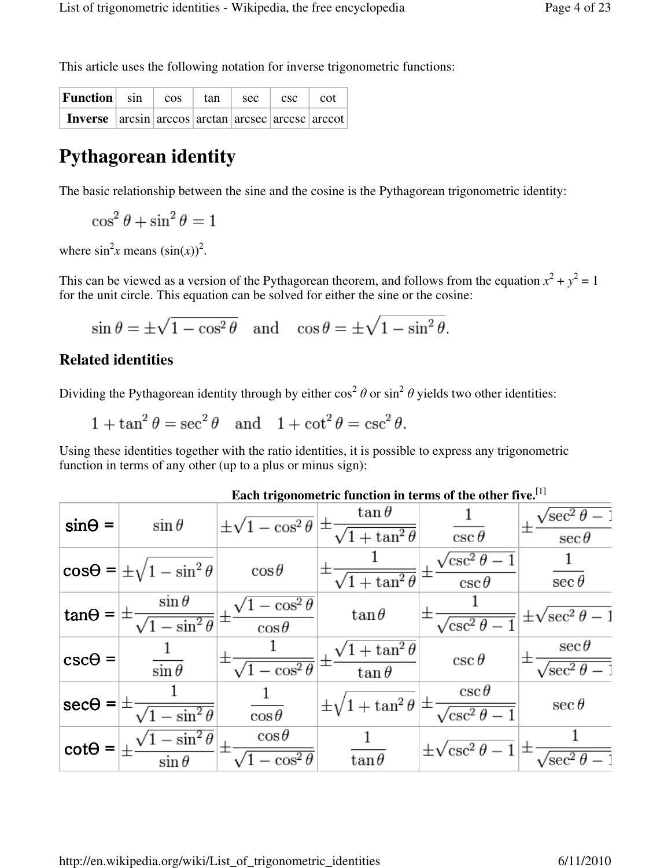This article uses the following notation for inverse trigonometric functions:

| <b>Function</b> sin cos tan                       |  | $\left  \begin{array}{c c} \n\text{sec} & \text{csc} & \text{cot} \n\end{array} \right $ |  |
|---------------------------------------------------|--|------------------------------------------------------------------------------------------|--|
| Inverse arcsin arccos arctan arcsec arccsc arccot |  |                                                                                          |  |

# **Pythagorean identity**

The basic relationship between the sine and the cosine is the Pythagorean trigonometric identity:

 $\cos^2\theta + \sin^2\theta = 1$ 

where  $\sin^2 x$  means  $(\sin(x))^2$ .

This can be viewed as a version of the Pythagorean theorem, and follows from the equation  $x^2 + y^2 = 1$ for the unit circle. This equation can be solved for either the sine or the cosine:

$$
\sin \theta = \pm \sqrt{1 - \cos^2 \theta}
$$
 and  $\cos \theta = \pm \sqrt{1 - \sin^2 \theta}$ .

### **Related identities**

Dividing the Pythagorean identity through by either  $\cos^2 \theta$  or  $\sin^2 \theta$  yields two other identities:

 $1 + \tan^2 \theta = \sec^2 \theta$  and  $1 + \cot^2 \theta = \csc^2 \theta$ .

Using these identities together with the ratio identities, it is possible to express any trigonometric function in terms of any other (up to a plus or minus sign):

| $sin\Theta =$  | $\sin \theta$                              | $\pm\sqrt{1-\cos^2\theta}$           | $\tan\theta$<br>士<br>$\sqrt{1 + \tan^2 \theta}$ | $\csc\theta$                                   | $\sqrt{\sec^2{\theta}}$<br>$\sec \theta$   |
|----------------|--------------------------------------------|--------------------------------------|-------------------------------------------------|------------------------------------------------|--------------------------------------------|
|                | $\cos\theta = \pm \sqrt{1 - \sin^2\theta}$ | $\cos\theta$                         | $\sqrt{1 + \tan^2 \theta}$                      | $^{\prime}$ csc $^2$ $\theta$<br>$\csc \theta$ | $\sec \theta$                              |
| $tan\Theta =$  | $\sin \theta$<br>$\sqrt{1-\sin^2\theta}$   | $-\cos^2\theta$<br>士<br>$\cos\theta$ | $tan \theta$                                    | $\sqrt{\csc^2{\theta}}$                        | $\pm\sqrt{\sec^2\theta-1}$                 |
| $csc\theta =$  | $\sin \theta$                              | 士<br>$\sqrt{1-\cos^2\theta}$         | $1 + \tan^2 \theta$<br>+<br>$\tan\theta$        | $\csc \theta$                                  | $\sec \theta$<br>$\sqrt{\sec^2\theta - 1}$ |
| $sec\theta =$  | $-\sin^2\theta$                            | $\cos\theta$                         | $\pm\sqrt{1+\tan^2\theta}$                      | $\csc \theta$<br>$\sqrt{\csc^2{\theta}}$       | $\sec \theta$                              |
| $\cot\Theta =$ | $-\sin^2\theta$<br>$\sin \theta$           | $\cos\theta$<br>士<br>$-\cos^2\theta$ | $tan \theta$                                    | $\pm\sqrt{\csc^2\theta -}$                     | $\sqrt{\text{sec}^2}$                      |

|  | Each trigonometric function in terms of the other five. $^{[1]}$ |  |  |  |  |  |
|--|------------------------------------------------------------------|--|--|--|--|--|
|--|------------------------------------------------------------------|--|--|--|--|--|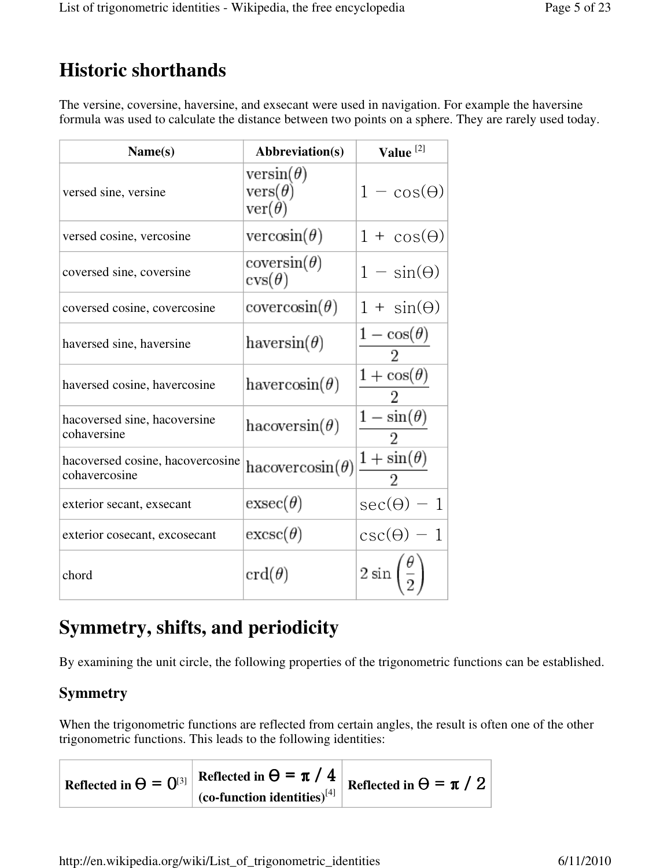# **Historic shorthands**

The versine, coversine, haversine, and exsecant were used in navigation. For example the haversine formula was used to calculate the distance between two points on a sphere. They are rarely used today.

| Name(s)                                           | Abbreviation(s)                                     | Value <sup>[2]</sup>  |
|---------------------------------------------------|-----------------------------------------------------|-----------------------|
| versed sine, versine                              | $versin(\theta)$<br>$vers(\theta)$<br>$ver(\theta)$ | $1 - \cos(\theta)$    |
| versed cosine, vercosine                          | vercosin( $\theta$ )                                | $1 + \cos(\theta)$    |
| coversed sine, coversine                          | coversin( $\theta$ )<br>$\text{cvs}(\theta)$        | $1 - \sin(\theta)$    |
| coversed cosine, covercosine                      | $covercosin(\theta)$                                | $1 + \sin(\theta)$    |
| haversed sine, haversine                          | haversin $(\theta)$                                 | $1-\cos(\theta)$<br>2 |
| haversed cosine, havercosine                      | havercosin( $\theta$ )                              | $1+\cos(\theta)$<br>2 |
| hacoversed sine, hacoversine<br>cohaversine       | hacoversin( $\theta$ )                              | $1-\sin(\theta)$<br>2 |
| hacoversed cosine, hacovercosine<br>cohavercosine | hacovercosin( $\theta$ )                            | $1+\sin(\theta)$      |
| exterior secant, exsecant                         | $exsec(\theta)$                                     | $sec(\theta) - 1$     |
| exterior cosecant, excosecant                     | $excsc(\theta)$                                     | $csc(\theta)$ .       |
| chord                                             | $\operatorname{crd}(\theta)$                        | $2\sin$               |

# **Symmetry, shifts, and periodicity**

By examining the unit circle, the following properties of the trigonometric functions can be established.

### **Symmetry**

When the trigonometric functions are reflected from certain angles, the result is often one of the other trigonometric functions. This leads to the following identities:

**Reflected in**  $\Theta = 0^{3}$  **<b>Reflected in**  $\Theta = \pi / 4$  **Reflected in**  $\Theta = \pi / 2$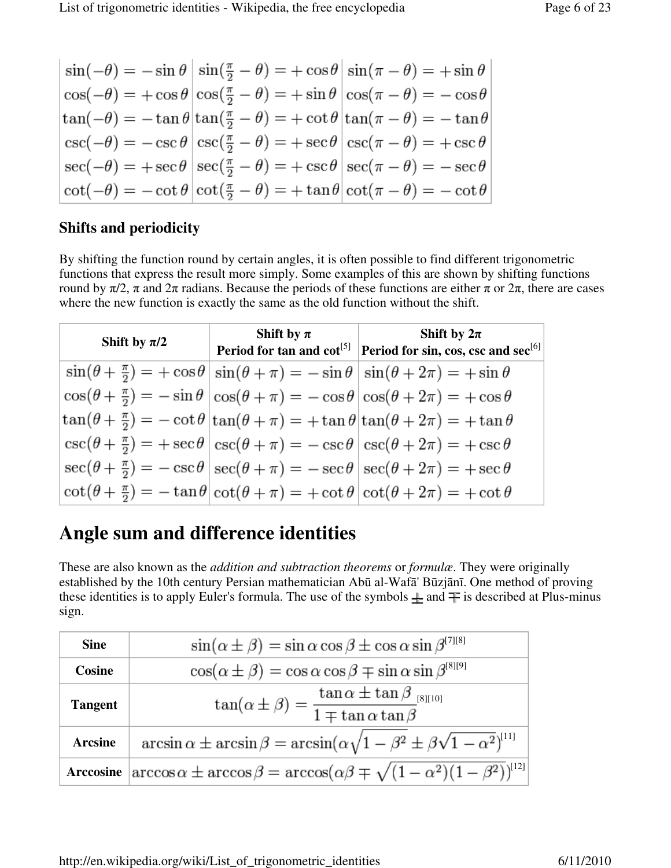| $\sin(-\theta) = -\sin\theta \left  \sin(\frac{\pi}{2} - \theta) \right  = +\cos\theta \left  \sin(\pi - \theta) \right  = +\sin\theta$ |                                                                                                                   |
|-----------------------------------------------------------------------------------------------------------------------------------------|-------------------------------------------------------------------------------------------------------------------|
| $\cos(-\theta) = +\cos\theta \left[\cos(\frac{\pi}{2} - \theta) = +\sin\theta \left[\cos(\pi - \theta) = -\cos\theta\right]\right]$     |                                                                                                                   |
| $\tan(-\theta) = -\tan\theta \tan(\frac{\pi}{2} - \theta) = +\cot\theta \tan(\pi - \theta) = -\tan\theta$                               |                                                                                                                   |
| $\csc(-\theta) = -\csc \theta \,  \csc(\frac{\pi}{2} - \theta) = +\sec \theta \,  \csc(\pi - \theta) = +\csc \theta$                    |                                                                                                                   |
| $\sec(-\theta) = +\sec\theta \,  \sec(\frac{\pi}{2}-\theta) = +\csc\theta \,  \sec(\pi-\theta) = -\sec\theta$                           |                                                                                                                   |
|                                                                                                                                         | $\cot(-\theta) = -\cot\theta \,  \cot(\frac{\pi}{2} - \theta) = +\tan\theta \,  \cot(\pi - \theta) = -\cot\theta$ |

### **Shifts and periodicity**

By shifting the function round by certain angles, it is often possible to find different trigonometric functions that express the result more simply. Some examples of this are shown by shifting functions round by  $\pi/2$ , π and  $2\pi$  radians. Because the periods of these functions are either π or  $2\pi$ , there are cases where the new function is exactly the same as the old function without the shift.

| Shift by $\pi/2$ | Shift by $\pi$ | Shift by $2\pi$<br>Period for tan and $\cot^{[5]}$ Period for sin, cos, csc and $\sec^{[6]}$                                                  |
|------------------|----------------|-----------------------------------------------------------------------------------------------------------------------------------------------|
|                  |                | $\sin(\theta + \frac{\pi}{2}) = +\cos\theta \sin(\theta + \pi) = -\sin\theta \sin(\theta + 2\pi) = +\sin\theta$                               |
|                  |                | $\cos(\theta + \frac{\pi}{2}) = -\sin\theta \left  \cos(\theta + \pi) \right  = -\cos\theta \left  \cos(\theta + 2\pi) \right  = +\cos\theta$ |
|                  |                | $\tan(\theta + \frac{\pi}{2}) = -\cot\theta \tan(\theta + \pi) = +\tan\theta \tan(\theta + 2\pi) = +\tan\theta$                               |
|                  |                | $\csc(\theta + \frac{\pi}{2}) = + \sec \theta \,  \, \csc(\theta + \pi) = -\csc \theta \,  \, \csc(\theta + 2\pi) = + \csc \theta$            |
|                  |                | $\sec(\theta + \frac{\pi}{2}) = -\csc\theta \,  \sec(\theta + \pi) = -\sec\theta \,  \sec(\theta + 2\pi) = +\sec\theta$                       |
|                  |                | $\cot(\theta + \frac{\pi}{2}) = -\tan\theta \,  \cot(\theta + \pi) = +\cot\theta \,  \cot(\theta + 2\pi) = +\cot\theta$                       |

# **Angle sum and difference identities**

These are also known as the *addition and subtraction theorems* or *formulæ*. They were originally established by the 10th century Persian mathematician Abū al-Wafā' Būzjānī. One method of proving these identities is to apply Euler's formula. The use of the symbols  $\pm$  and  $\mp$  is described at Plus-minus sign.

| <b>Sine</b>    | $\sin(\alpha \pm \beta) = \sin \alpha \cos \beta \pm \cos \alpha \sin \beta^{[7][8]}$                        |
|----------------|--------------------------------------------------------------------------------------------------------------|
| Cosine         | $\cos(\alpha \pm \beta) = \cos \alpha \cos \beta \mp \sin \alpha \sin \beta^{\text{[8][9]}}$                 |
| <b>Tangent</b> | $\tan(\alpha \pm \beta) = \frac{\tan \alpha \pm \tan \beta}{1 \mp \tan \alpha \tan \beta}$                   |
| <b>Arcsine</b> | $\arcsin \alpha \pm \arcsin \beta = \arcsin(\alpha \sqrt{1-\beta^2 \pm \beta \sqrt{1-\alpha^2}})^{[11]}$     |
|                | Arccosine $\arccos \alpha \pm \arccos \beta = \arccos(\alpha \beta \mp \sqrt{(1-\alpha^2)(1-\beta^2)})^{12}$ |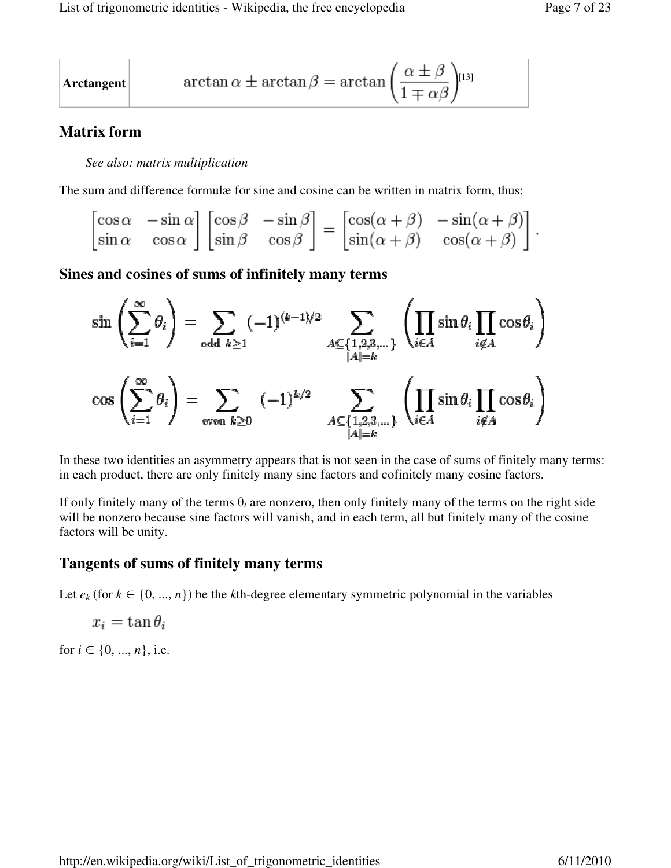$$
\begin{vmatrix}\n\arctangent \\
\end{vmatrix} \quad \arctan \alpha \pm \arctan \beta = \arctan \left(\frac{\alpha \pm \beta}{1 \mp \alpha \beta}\right)^{[13]}
$$

### **Matrix form**

#### *See also: matrix multiplication*

The sum and difference formulæ for sine and cosine can be written in matrix form, thus:

$$
\begin{bmatrix}\n\cos \alpha & -\sin \alpha \\
\sin \alpha & \cos \alpha\n\end{bmatrix}\n\begin{bmatrix}\n\cos \beta & -\sin \beta \\
\sin \beta & \cos \beta\n\end{bmatrix} =\n\begin{bmatrix}\n\cos(\alpha + \beta) & -\sin(\alpha + \beta) \\
\sin(\alpha + \beta) & \cos(\alpha + \beta)\n\end{bmatrix}
$$

### **Sines and cosines of sums of infinitely many terms**

$$
\sin\left(\sum_{i=1}^{\infty}\theta_i\right) = \sum_{\text{odd }k\geq 1}(-1)^{(k-1)/2}\sum_{\substack{A\subseteq\{1,2,3,\dots\}\\|A|=k}}\left(\prod_{i\in A}\sin\theta_i\prod_{i\notin A}\cos\theta_i\right)
$$

$$
\cos\left(\sum_{i=1}^{\infty}\theta_i\right) = \sum_{\text{even }k\geq 0}(-1)^{k/2}\sum_{\substack{A\subseteq\{1,2,3,\dots\}\\|A|=k}}\left(\prod_{i\in A}\sin\theta_i\prod_{i\notin A}\cos\theta_i\right)
$$

In these two identities an asymmetry appears that is not seen in the case of sums of finitely many terms: in each product, there are only finitely many sine factors and cofinitely many cosine factors.

If only finitely many of the terms  $\theta_i$  are nonzero, then only finitely many of the terms on the right side will be nonzero because sine factors will vanish, and in each term, all but finitely many of the cosine factors will be unity.

### **Tangents of sums of finitely many terms**

Let  $e_k$  (for  $k \in \{0, ..., n\}$ ) be the *k*th-degree elementary symmetric polynomial in the variables

$$
x_i = \tan \theta_i
$$

for  $i \in \{0, ..., n\}$ , i.e.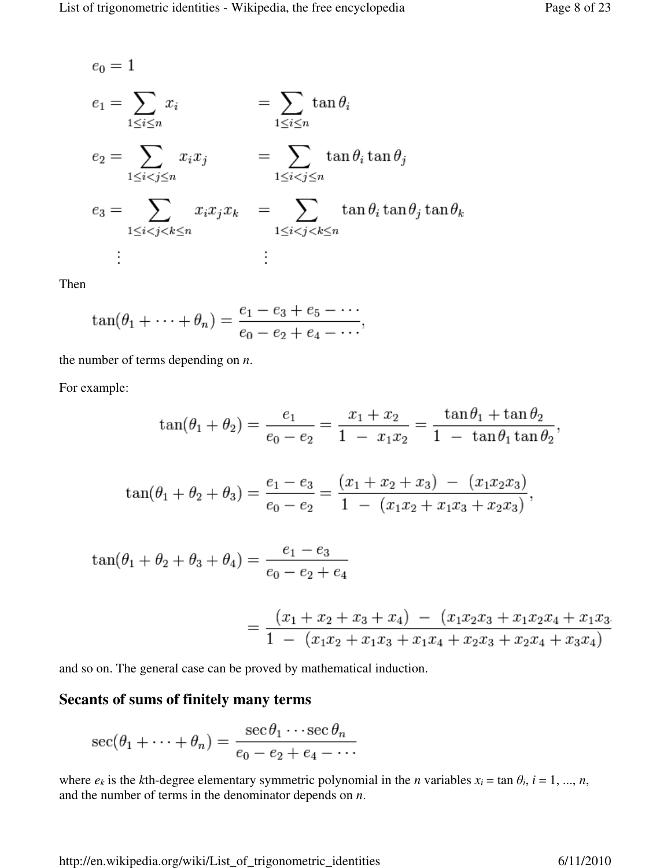$$
e_0 = 1
$$
  
\n
$$
e_1 = \sum_{1 \le i \le n} x_i \qquad = \sum_{1 \le i \le n} \tan \theta_i
$$
  
\n
$$
e_2 = \sum_{1 \le i < j \le n} x_i x_j \qquad = \sum_{1 \le i < j \le n} \tan \theta_i \tan \theta_j
$$
  
\n
$$
e_3 = \sum_{1 \le i < j < k \le n} x_i x_j x_k \qquad = \sum_{1 \le i < j < k \le n} \tan \theta_i \tan \theta_j \tan \theta_k
$$
  
\n
$$
\vdots \qquad \vdots
$$

Then

$$
\tan(\theta_1 + \dots + \theta_n) = \frac{e_1 - e_3 + e_5 - \dots}{e_0 - e_2 + e_4 - \dots},
$$

the number of terms depending on *n*.

For example:

$$
\tan(\theta_1 + \theta_2) = \frac{e_1}{e_0 - e_2} = \frac{x_1 + x_2}{1 - x_1 x_2} = \frac{\tan \theta_1 + \tan \theta_2}{1 - \tan \theta_1 \tan \theta_2},
$$

$$
\tan(\theta_1 + \theta_2 + \theta_3) = \frac{e_1 - e_3}{e_0 - e_2} = \frac{(x_1 + x_2 + x_3) - (x_1x_2x_3)}{1 - (x_1x_2 + x_1x_3 + x_2x_3)},
$$

$$
\tan(\theta_1 + \theta_2 + \theta_3 + \theta_4) = \frac{e_1 - e_3}{e_0 - e_2 + e_4}
$$

$$
= \frac{(x_1 + x_2 + x_3 + x_4) - (x_1x_2x_3 + x_1x_2x_4 + x_1x_3)}{1 - (x_1x_2 + x_1x_3 + x_1x_4 + x_2x_3 + x_2x_4 + x_3x_4)}
$$

and so on. The general case can be proved by mathematical induction.

#### **Secants of sums of finitely many terms**

$$
\sec(\theta_1 + \dots + \theta_n) = \frac{\sec \theta_1 \cdots \sec \theta_n}{e_0 - e_2 + e_4 - \dots}
$$

where  $e_k$  is the *k*th-degree elementary symmetric polynomial in the *n* variables  $x_i = \tan \theta_i$ ,  $i = 1, ..., n$ , and the number of terms in the denominator depends on *n*.

http://en.wikipedia.org/wiki/List\_of\_trigonometric\_identities 6/11/2010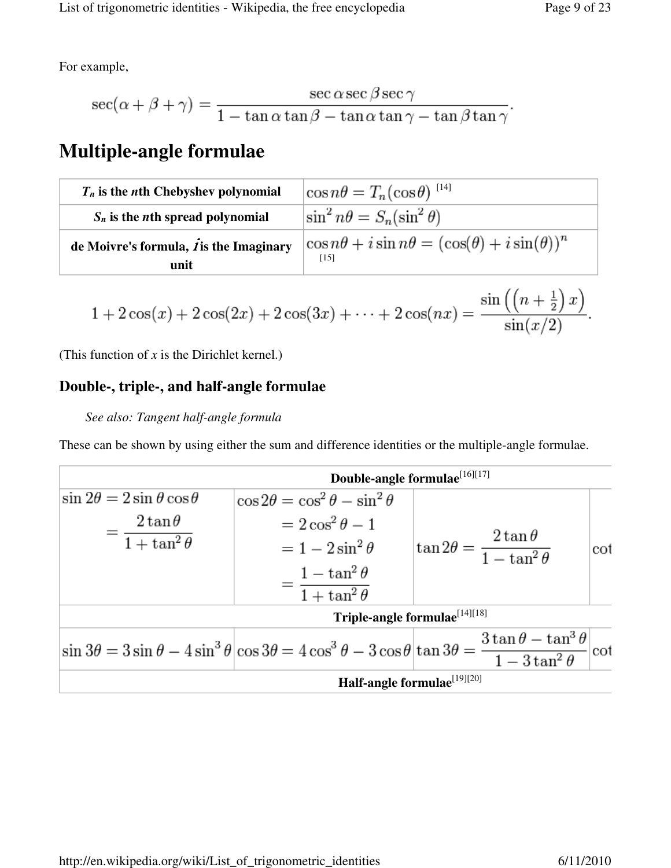For example,

$$
\sec(\alpha + \beta + \gamma) = \frac{\sec \alpha \sec \beta \sec \gamma}{1 - \tan \alpha \tan \beta - \tan \alpha \tan \gamma - \tan \beta \tan \gamma}
$$

# **Multiple-angle formulae**

| $T_n$ is the <i>n</i> th Chebyshev polynomial                  | $\cos n\theta = T_n(\cos \theta)^{-14}$                                     |
|----------------------------------------------------------------|-----------------------------------------------------------------------------|
| $S_n$ is the <i>n</i> th spread polynomial                     | $\sin^2 n\theta = S_n(\sin^2 \theta)$                                       |
| de Moivre's formula, $\boldsymbol{j}$ is the Imaginary<br>unit | $\cos n\theta + i\sin n\theta = (\cos(\theta) + i\sin(\theta))^n$<br>$[15]$ |

$$
1 + 2\cos(x) + 2\cos(2x) + 2\cos(3x) + \cdots + 2\cos(nx) = \frac{\sin\left(\left(n + \frac{1}{2}\right)x\right)}{\sin(x/2)}.
$$

(This function of *x* is the Dirichlet kernel.)

### **Double-, triple-, and half-angle formulae**

### *See also: Tangent half-angle formula*

These can be shown by using either the sum and difference identities or the multiple-angle formulae.

|                                            | Double-angle formulae <sup>[16][17]</sup>                                                                                                                                                        |                                                     |     |
|--------------------------------------------|--------------------------------------------------------------------------------------------------------------------------------------------------------------------------------------------------|-----------------------------------------------------|-----|
| $\sin 2\theta = 2 \sin \theta \cos \theta$ | $\cos 2\theta = \cos^2 \theta - \sin^2 \theta$                                                                                                                                                   |                                                     |     |
| $2\tan\theta$                              | $=2\cos^2\theta-1$                                                                                                                                                                               |                                                     |     |
| $-\frac{1}{1+\tan^2\theta}$                | $= 1 - 2 \sin^2 \theta$                                                                                                                                                                          | $\tan 2\theta = \frac{2\tan\theta}{1-\tan^2\theta}$ | cot |
|                                            |                                                                                                                                                                                                  |                                                     |     |
|                                            | $= \frac{1 - \tan^2 \theta}{1 + \tan^2 \theta}$                                                                                                                                                  |                                                     |     |
|                                            | Triple-angle formulae <sup>[14][18]</sup>                                                                                                                                                        |                                                     |     |
|                                            | $\sin 3\theta = 3\sin \theta - 4\sin^3 \theta \Big  \cos 3\theta = 4\cos^3 \theta - 3\cos \theta \Big  \tan 3\theta = \frac{3\tan \theta - \tan^3 \theta}{1 - 3\tan^2 \theta} \Big  \cot \theta$ |                                                     |     |
|                                            | Half-angle formulae <sup>[19][20]</sup>                                                                                                                                                          |                                                     |     |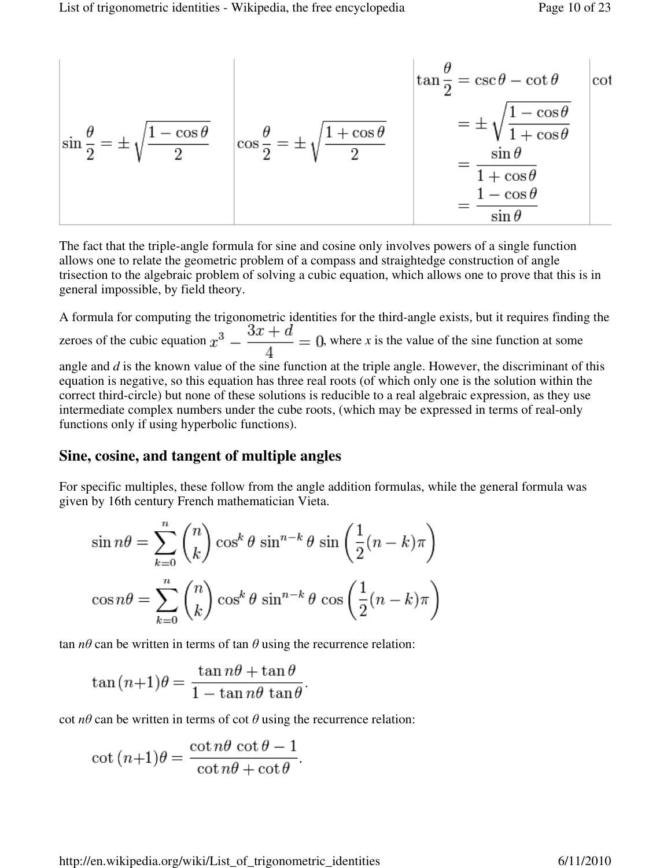$$
\sin\frac{\theta}{2} = \pm\sqrt{\frac{1-\cos\theta}{2}} \quad \cos\frac{\theta}{2} = \pm\sqrt{\frac{1+\cos\theta}{2}} \quad \begin{array}{rcl}\n\tan\frac{\theta}{2} &=& \csc\theta - \cot\theta \\
\hline\n= & \frac{1-\cos\theta}{1+\cos\theta} \\
&=& \frac{\sin\theta}{1+\cos\theta} \\
&=& \frac{1-\cos\theta}{\sin\theta}\n\end{array}
$$

The fact that the triple-angle formula for sine and cosine only involves powers of a single function allows one to relate the geometric problem of a compass and straightedge construction of angle trisection to the algebraic problem of solving a cubic equation, which allows one to prove that this is in general impossible, by field theory.

A formula for computing the trigonometric identities for the third-angle exists, but it requires finding the zeroes of the cubic equation  $x^3 - \frac{3x+d}{4} = 0$ , where *x* is the value of the sine function at some angle and *d* is the known value of the sine function at the triple angle. However, the discriminant of this equation is negative, so this equation has three real roots (of which only one is the solution within the correct third-circle) but none of these solutions is reducible to a real algebraic expression, as they use intermediate complex numbers under the cube roots, (which may be expressed in terms of real-only functions only if using hyperbolic functions).

#### **Sine, cosine, and tangent of multiple angles**

For specific multiples, these follow from the angle addition formulas, while the general formula was given by 16th century French mathematician Vieta.

$$
\sin n\theta = \sum_{k=0}^{n} {n \choose k} \cos^{k} \theta \sin^{n-k} \theta \sin \left(\frac{1}{2}(n-k)\pi\right)
$$

$$
\cos n\theta = \sum_{k=0}^{n} {n \choose k} \cos^{k} \theta \sin^{n-k} \theta \cos \left(\frac{1}{2}(n-k)\pi\right)
$$

tan  $n\theta$  can be written in terms of tan  $\theta$  using the recurrence relation:

$$
\tan(n+1)\theta = \frac{\tan n\theta + \tan \theta}{1 - \tan n\theta \tan \theta}
$$

cot  $n\theta$  can be written in terms of cot  $\theta$  using the recurrence relation:

$$
\cot (n+1)\theta = \frac{\cot n\theta \cot \theta - 1}{\cot n\theta + \cot \theta}.
$$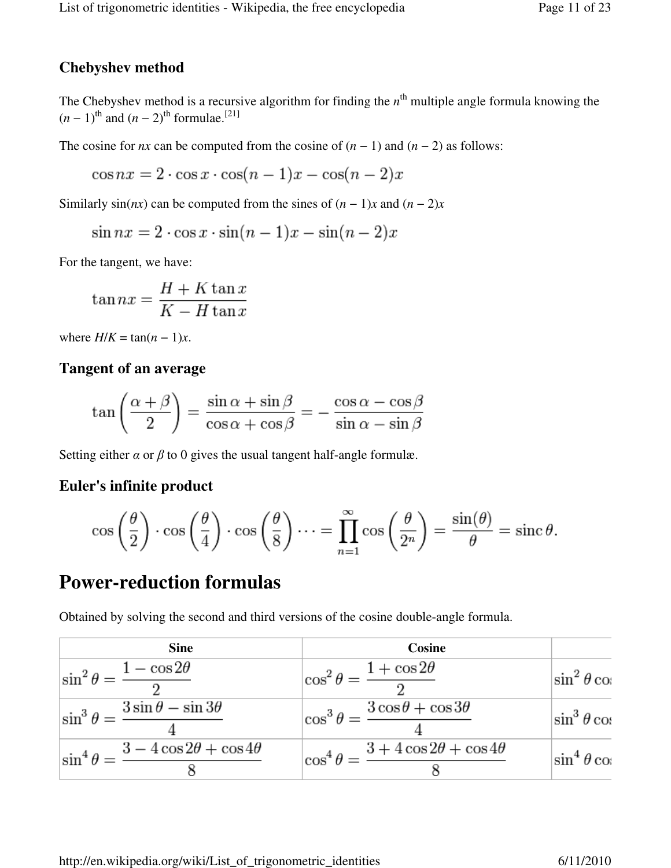### **Chebyshev method**

The Chebyshev method is a recursive algorithm for finding the  $n<sup>th</sup>$  multiple angle formula knowing the  $(n-1)$ <sup>th</sup> and  $(n-2)$ <sup>th</sup> formulae.<sup>[21]</sup>

The cosine for *nx* can be computed from the cosine of  $(n - 1)$  and  $(n - 2)$  as follows:

 $\cos nx = 2 \cdot \cos x \cdot \cos(n-1)x - \cos(n-2)x$ 

Similarly  $sin(nx)$  can be computed from the sines of  $(n - 1)x$  and  $(n - 2)x$ 

 $\sin nx = 2 \cdot \cos x \cdot \sin(n-1)x - \sin(n-2)x$ 

For the tangent, we have:

$$
\tan nx = \frac{H + K \tan x}{K - H \tan x}
$$

where  $H/K = \tan((n-1)x)$ .

#### **Tangent of an average**

$$
\tan\left(\frac{\alpha+\beta}{2}\right) = \frac{\sin\alpha+\sin\beta}{\cos\alpha+\cos\beta} = -\frac{\cos\alpha-\cos\beta}{\sin\alpha-\sin\beta}
$$

Setting either  $\alpha$  or  $\beta$  to 0 gives the usual tangent half-angle formulæ.

#### **Euler's infinite product**

$$
\cos\left(\frac{\theta}{2}\right)\cdot\cos\left(\frac{\theta}{4}\right)\cdot\cos\left(\frac{\theta}{8}\right)\cdots=\prod_{n=1}^{\infty}\cos\left(\frac{\theta}{2^n}\right)=\frac{\sin(\theta)}{\theta}=\operatorname{sinc}\theta.
$$

### **Power-reduction formulas**

Obtained by solving the second and third versions of the cosine double-angle formula.

| <b>Sine</b>                                               | Cosine                                                    |                      |
|-----------------------------------------------------------|-----------------------------------------------------------|----------------------|
| $\sin^2\theta = \frac{1-\cos 2\theta}{2}$                 | $\cos^2\theta = \frac{1+\cos 2\theta}{2}$                 | $ \sin^2\theta \cos$ |
| $\sin^3\theta = \frac{3\sin\theta - \sin 3\theta}{4}$     | $\cos^3\theta = \frac{3\cos\theta + \cos 3\theta}{4}$     | $\sin^3\theta\cos$   |
| $\sin^4\theta = \frac{3-4\cos 2\theta + \cos 4\theta}{1}$ | $\cos^4\theta = \frac{3+4\cos 2\theta + \cos 4\theta}{2}$ | $\sin^4\theta\cos$   |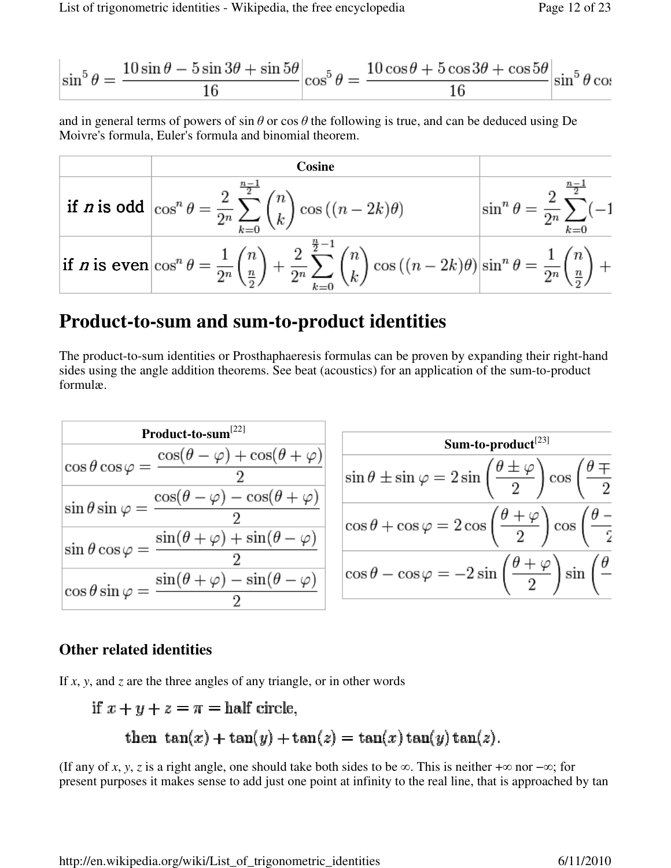$$
\left|\sin^{5}\theta\right| = \frac{10\sin\theta - 5\sin 3\theta + \sin 5\theta}{16}\left|\cos^{5}\theta\right| = \frac{10\cos\theta + 5\cos 3\theta + \cos 5\theta}{16}\left|\sin^{5}\theta\right|\cos 3\theta
$$

and in general terms of powers of  $\sin \theta$  or  $\cos \theta$  the following is true, and can be deduced using De Moivre's formula, Euler's formula and binomial theorem.

$$
\begin{array}{|l|l|}\n\hline\n\text{if } n \text{ is odd} & \text{cos}^n \theta = \frac{2}{2^n} \sum_{k=0}^{\frac{n-1}{2}} \binom{n}{k} \cos \left( (n-2k) \theta \right) \\
\hline\n\text{if } n \text{ is even} & \text{cos}^n \theta = \frac{1}{2^n} \sum_{k=0}^{\frac{n}{2}} \binom{n}{\frac{n}{2}} + \frac{2}{2^n} \sum_{k=0}^{\frac{n}{2}-1} \binom{n}{k} \cos \left( (n-2k) \theta \right) \sin^n \theta = \frac{1}{2^n} \binom{n}{\frac{n}{2}} + \frac{2}{2^n} \sum_{k=0}^{\frac{n}{2}-1} \binom{n}{k} \cos \left( (n-2k) \theta \right) \sin^n \theta = \frac{1}{2^n} \binom{n}{\frac{n}{2}} + \frac{2}{2^n} \sum_{k=0}^{\frac{n}{2}-1} \binom{n}{k} \cos \left( (n-2k) \theta \right) \sin^n \theta = \frac{1}{2^n} \binom{n}{\frac{n}{2}} + \frac{2}{2^n} \sum_{k=0}^{\frac{n}{2}-1} \binom{n}{k} \cos \left( (n-2k) \theta \right) \sin^n \theta = \frac{2}{2^n} \sum_{k=0}^{\frac{n}{2}} \binom{n}{\frac{n}{2}} + \frac{2}{2^n} \sum_{k=0}^{\frac{n}{2}} \sin \left( (n-2k) \theta \right) \sin^n \theta = \frac{2}{2^n} \sum_{k=0}^{\frac{n}{2}} \left( (n-2k) \theta \right) \sin^n \theta = \frac{2}{2^n} \sum_{k=0}^{\frac{n}{2}} \left( (n-2k) \theta \right) \sin^n \theta = \frac{2}{2^n} \sum_{k=0}^{\frac{n}{2}} \left( (n-2k) \theta \right) \sin^n \theta = \frac{2}{2^n} \sum_{k=0}^{\frac{n}{2}} \left( (n-2k) \theta \right) \sin^n \theta = \frac{2}{2^n} \sum_{k=0}^{\frac{n}{2}} \left( (n-2k) \theta \right) \sin^n \theta = \frac{2}{2^n} \sum_{k=0}^{\frac{n}{2}} \left( (n-2k) \theta \right) \sin^n \theta = \frac{2}{2
$$

# **Product-to-sum and sum-to-product identities**

The product-to-sum identities or Prosthaphaeresis formulas can be proven by expanding their right-hand sides using the angle addition theorems. See beat (acoustics) for an application of the sum-to-product formulæ.

| Product-to-sum $^{[22]}$                                                                 |                                                                                                                                      |
|------------------------------------------------------------------------------------------|--------------------------------------------------------------------------------------------------------------------------------------|
|                                                                                          | Sum-to-product $^{[23]}$                                                                                                             |
| $\cos\theta\cos\varphi = \frac{\cos(\theta-\varphi) + \cos(\theta+\varphi)}{2}$          | $\sin \theta \pm \sin \varphi = 2 \sin \left( \frac{\theta \pm \varphi}{2} \right) \cos \left( \frac{\theta \mp \varphi}{2} \right)$ |
| $\left \sin\theta\sin\varphi\right =\frac{\cos(\theta-\varphi)-\cos(\theta+\varphi)}{2}$ |                                                                                                                                      |
|                                                                                          | $\cos\theta + \cos\varphi = 2\cos\left(\frac{\theta+\varphi}{2}\right)\cos\left(\frac{\theta-\varphi}{2}\right)$                     |
| $\sin \theta \cos \varphi = \frac{\sin(\theta + \varphi) + \sin(\theta - \varphi)}{2}$   |                                                                                                                                      |
|                                                                                          |                                                                                                                                      |
| $\cos\theta\sin\varphi=\frac{\sin(\theta+\varphi)-\sin(\theta-\varphi)}{2}$              | $\cos\theta - \cos\varphi = -2\sin\left(\frac{\theta+\varphi}{2}\right)\sin\left(\frac{\theta-\varphi}{2}\right)$                    |
|                                                                                          |                                                                                                                                      |

### **Other related identities**

If *x*, *y*, and *z* are the three angles of any triangle, or in other words

if 
$$
x + y + z = \pi
$$
 = half circle,  
then  $tan(x) + tan(y) + tan(z) = tan(x) tan(y) tan(z)$ .

(If any of *x*, *y*, *z* is a right angle, one should take both sides to be  $\infty$ . This is neither + $\infty$  nor  $-\infty$ ; for present purposes it makes sense to add just one point at infinity to the real line, that is approached by tan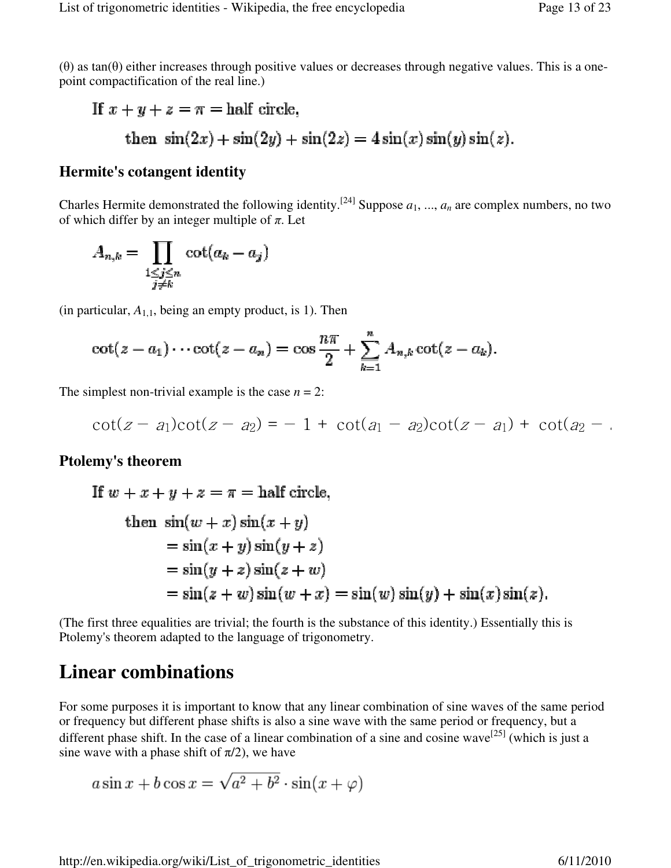If 
$$
x + y + z = \pi
$$
 = half circle,  
then  $sin(2x) + sin(2y) + sin(2z) = 4sin(x)sin(y)sin(z)$ .

### **Hermite's cotangent identity**

Charles Hermite demonstrated the following identity.<sup>[24]</sup> Suppose  $a_1, ..., a_n$  are complex numbers, no two of which differ by an integer multiple of  $\pi$ . Let

$$
A_{n,k} = \prod_{\substack{1 \le j \le n \\ j \ne k}} \cot(a_k - a_j)
$$

(in particular,  $A_{1,1}$ , being an empty product, is 1). Then

$$
\cot(z-a_1)\cdots\cot(z-a_n)=\cos\frac{n\pi}{2}+\sum_{k=1}^nA_{n,k}\cot(z-a_k).
$$

The simplest non-trivial example is the case  $n = 2$ :

$$
\cot(z - a_1)\cot(z - a_2) = -1 + \cot(a_1 - a_2)\cot(z - a_1) + \cot(a_2 - a_1)
$$

#### **Ptolemy's theorem**

If 
$$
w + x + y + z = \pi
$$
 = half circle,  
\nthen  $sin(w + x) sin(x + y)$   
\n $= sin(x + y) sin(y + z)$   
\n $= sin(y + z) sin(z + w)$   
\n $= sin(z + w) sin(w + x) = sin(w) sin(y) + sin(x) sin(z)$ .

(The first three equalities are trivial; the fourth is the substance of this identity.) Essentially this is Ptolemy's theorem adapted to the language of trigonometry.

# **Linear combinations**

For some purposes it is important to know that any linear combination of sine waves of the same period or frequency but different phase shifts is also a sine wave with the same period or frequency, but a different phase shift. In the case of a linear combination of a sine and cosine wave<sup>[25]</sup> (which is just a sine wave with a phase shift of  $\pi/2$ ), we have

$$
a\sin x + b\cos x = \sqrt{a^2 + b^2} \cdot \sin(x + \varphi)
$$

http://en.wikipedia.org/wiki/List\_of\_trigonometric\_identities 6/11/2010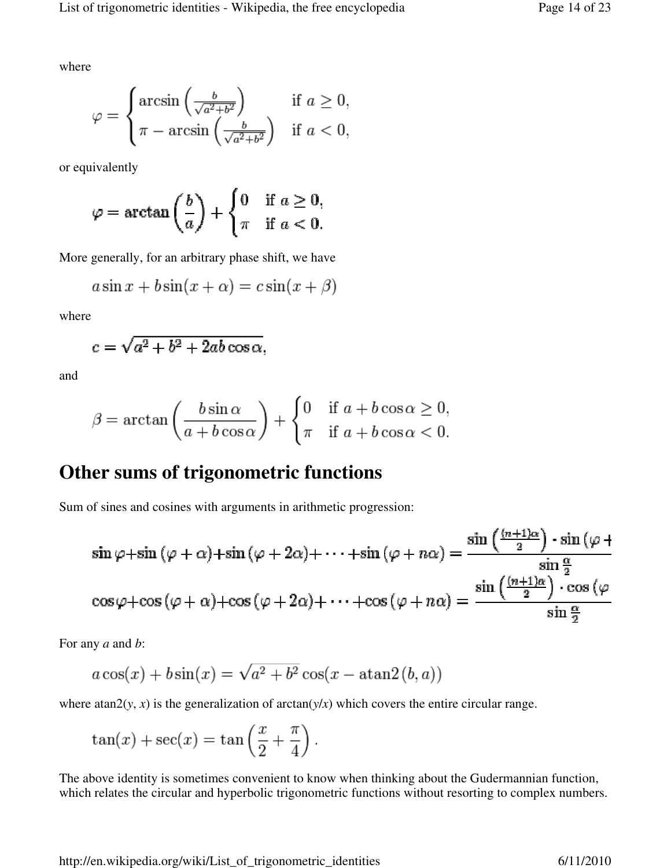where

$$
\varphi = \begin{cases} \arcsin\left(\frac{b}{\sqrt{a^2 + b^2}}\right) & \text{if } a \ge 0, \\ \pi - \arcsin\left(\frac{b}{\sqrt{a^2 + b^2}}\right) & \text{if } a < 0, \end{cases}
$$

or equivalently

$$
\varphi = \arctan\left(\frac{b}{a}\right) + \begin{cases} 0 & \text{if } a \ge 0, \\ \pi & \text{if } a < 0. \end{cases}
$$

More generally, for an arbitrary phase shift, we have

$$
a\sin x + b\sin(x + \alpha) = c\sin(x + \beta)
$$

where

$$
c = \sqrt{a^2 + b^2 + 2ab\cos\alpha},
$$

and

$$
\beta = \arctan\left(\frac{b\sin\alpha}{a + b\cos\alpha}\right) + \begin{cases} 0 & \text{if } a + b\cos\alpha \ge 0, \\ \pi & \text{if } a + b\cos\alpha < 0. \end{cases}
$$

### **Other sums of trigonometric functions**

Sum of sines and cosines with arguments in arithmetic progression:

$$
\sin \varphi + \sin (\varphi + \alpha) + \sin (\varphi + 2\alpha) + \dots + \sin (\varphi + n\alpha) = \frac{\sin \left(\frac{(n+1)\alpha}{2}\right) \cdot \sin (\varphi + n\alpha)}{\sin \frac{\alpha}{2}}
$$

$$
\cos \varphi + \cos (\varphi + \alpha) + \cos (\varphi + 2\alpha) + \dots + \cos (\varphi + n\alpha) = \frac{\sin \left(\frac{(n+1)\alpha}{2}\right) \cdot \cos (\varphi + n\alpha)}{\sin \frac{\alpha}{2}}
$$

For any *a* and *b*:

$$
a\cos(x) + b\sin(x) = \sqrt{a^2 + b^2}\cos(x - \operatorname{atan2}(b, a))
$$

where atan2( $y$ ,  $x$ ) is the generalization of arctan( $y/x$ ) which covers the entire circular range.

$$
\tan(x) + \sec(x) = \tan\left(\frac{x}{2} + \frac{\pi}{4}\right).
$$

The above identity is sometimes convenient to know when thinking about the Gudermannian function, which relates the circular and hyperbolic trigonometric functions without resorting to complex numbers.

http://en.wikipedia.org/wiki/List\_of\_trigonometric\_identities 6/11/2010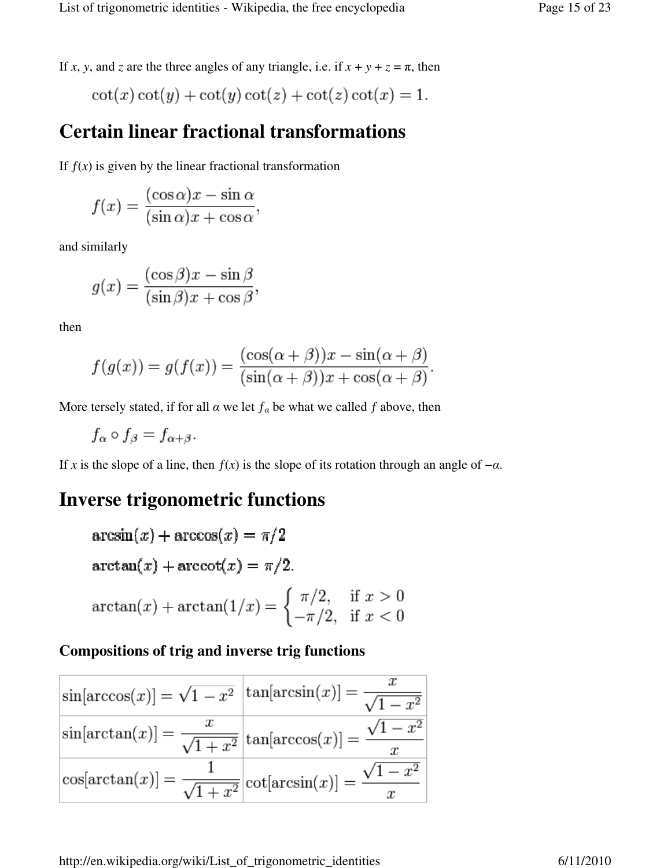If *x*, *y*, and *z* are the three angles of any triangle, i.e. if  $x + y + z = \pi$ , then

$$
\cot(x)\cot(y) + \cot(y)\cot(z) + \cot(z)\cot(x) = 1.
$$

## **Certain linear fractional transformations**

If  $f(x)$  is given by the linear fractional transformation

$$
f(x) = \frac{(\cos \alpha)x - \sin \alpha}{(\sin \alpha)x + \cos \alpha},
$$

and similarly

$$
g(x) = \frac{(\cos \beta)x - \sin \beta}{(\sin \beta)x + \cos \beta},
$$

then

$$
f(g(x)) = g(f(x)) = \frac{(\cos(\alpha + \beta))x - \sin(\alpha + \beta)}{(\sin(\alpha + \beta))x + \cos(\alpha + \beta)}
$$

More tersely stated, if for all  $\alpha$  we let  $f_{\alpha}$  be what we called  $f$  above, then

$$
f_{\alpha}\circ f_{\beta}=f_{\alpha+\beta}.
$$

If *x* is the slope of a line, then  $f(x)$  is the slope of its rotation through an angle of  $-\alpha$ .

# **Inverse trigonometric functions**

$$
\arcsin(x) + \arccos(x) = \pi/2
$$
  
\n
$$
\arctan(x) + \arccot(x) = \pi/2.
$$
  
\n
$$
\arctan(x) + \arctan(1/x) = \begin{cases} \pi/2, & \text{if } x > 0 \\ -\pi/2, & \text{if } x < 0 \end{cases}
$$

### **Compositions of trig and inverse trig functions**

| $\sin[\arccos(x)] = \sqrt{1-x^2} \left[\tan[\arcsin(x)]\right] = \frac{x}{\sqrt{1-x^2}}$ | $-x^2$ |
|------------------------------------------------------------------------------------------|--------|
| $\sin[\arctan(x)] = \frac{x}{\sqrt{1+x^2}} \Big  \tan[\arccos(x)] =$                     |        |
| $ \cos[\arctan(x)] = \frac{1}{\sqrt{1+x^2}}  \cot[\arcsin(x)] = \frac{\sqrt{1+x^2}}{2}$  |        |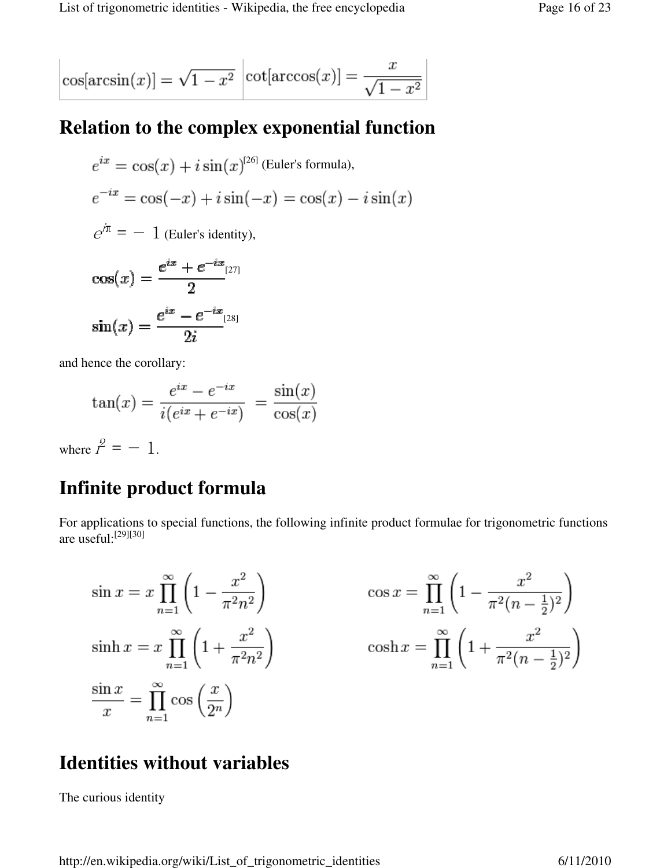$$
\cos[\arcsin(x)] = \sqrt{1 - x^2} \left[ \cot[\arccos(x)] = \frac{x}{\sqrt{1 - x^2}} \right]
$$

# **Relation to the complex exponential function**

$$
e^{ix} = \cos(x) + i\sin(x)^{[26]}
$$
 (Euler's formula),  
\n
$$
e^{-ix} = \cos(-x) + i\sin(-x) = \cos(x) - i\sin(x)
$$
  
\n
$$
e^{i\pi} = -1
$$
 (Euler's identity),  
\n
$$
\cos(x) = \frac{e^{ix} + e^{-ix}}{2}
$$
  
\n
$$
\sin(x) = \frac{e^{ix} - e^{-ix}}{2i}
$$

and hence the corollary:

$$
\tan(x) = \frac{e^{ix} - e^{-ix}}{i(e^{ix} + e^{-ix})} = \frac{\sin(x)}{\cos(x)}
$$

where  $i^2 = -1$ .

# **Infinite product formula**

For applications to special functions, the following infinite product formulae for trigonometric functions are useful:[29][30]

$$
\sin x = x \prod_{n=1}^{\infty} \left( 1 - \frac{x^2}{\pi^2 n^2} \right) \qquad \cos x = \prod_{n=1}^{\infty} \left( 1 - \frac{x^2}{\pi^2 (n - \frac{1}{2})^2} \right)
$$
  
\n
$$
\sinh x = x \prod_{n=1}^{\infty} \left( 1 + \frac{x^2}{\pi^2 n^2} \right) \qquad \cosh x = \prod_{n=1}^{\infty} \left( 1 + \frac{x^2}{\pi^2 (n - \frac{1}{2})^2} \right)
$$
  
\n
$$
\frac{\sin x}{x} = \prod_{n=1}^{\infty} \cos \left( \frac{x}{2^n} \right)
$$

# **Identities without variables**

The curious identity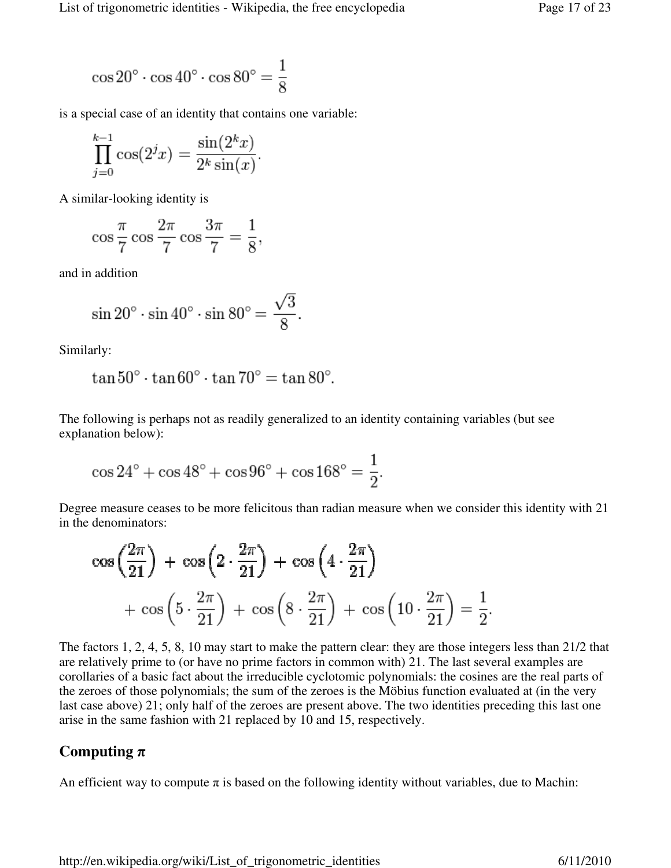$$
\cos 20^\circ \cdot \cos 40^\circ \cdot \cos 80^\circ = \frac{1}{8}
$$

is a special case of an identity that contains one variable:

$$
\prod_{j=0}^{k-1} \cos(2^{j}x) = \frac{\sin(2^{k}x)}{2^{k}\sin(x)}.
$$

A similar-looking identity is

$$
\cos\frac{\pi}{7}\cos\frac{2\pi}{7}\cos\frac{3\pi}{7}=\frac{1}{8},
$$

and in addition

$$
\sin 20^\circ \cdot \sin 40^\circ \cdot \sin 80^\circ = \frac{\sqrt{3}}{8}.
$$

Similarly:

$$
\tan 50^\circ \cdot \tan 60^\circ \cdot \tan 70^\circ = \tan 80^\circ.
$$

The following is perhaps not as readily generalized to an identity containing variables (but see explanation below):

$$
\cos 24^\circ + \cos 48^\circ + \cos 96^\circ + \cos 168^\circ = \frac{1}{2}.
$$

Degree measure ceases to be more felicitous than radian measure when we consider this identity with 21 in the denominators:

$$
\cos\left(\frac{2\pi}{21}\right) + \cos\left(2\cdot\frac{2\pi}{21}\right) + \cos\left(4\cdot\frac{2\pi}{21}\right) + \cos\left(5\cdot\frac{2\pi}{21}\right) + \cos\left(8\cdot\frac{2\pi}{21}\right) + \cos\left(10\cdot\frac{2\pi}{21}\right) = \frac{1}{2}.
$$

The factors 1, 2, 4, 5, 8, 10 may start to make the pattern clear: they are those integers less than 21/2 that are relatively prime to (or have no prime factors in common with) 21. The last several examples are corollaries of a basic fact about the irreducible cyclotomic polynomials: the cosines are the real parts of the zeroes of those polynomials; the sum of the zeroes is the Möbius function evaluated at (in the very last case above) 21; only half of the zeroes are present above. The two identities preceding this last one arise in the same fashion with 21 replaced by 10 and 15, respectively.

#### **Computing** π

An efficient way to compute  $\pi$  is based on the following identity without variables, due to Machin: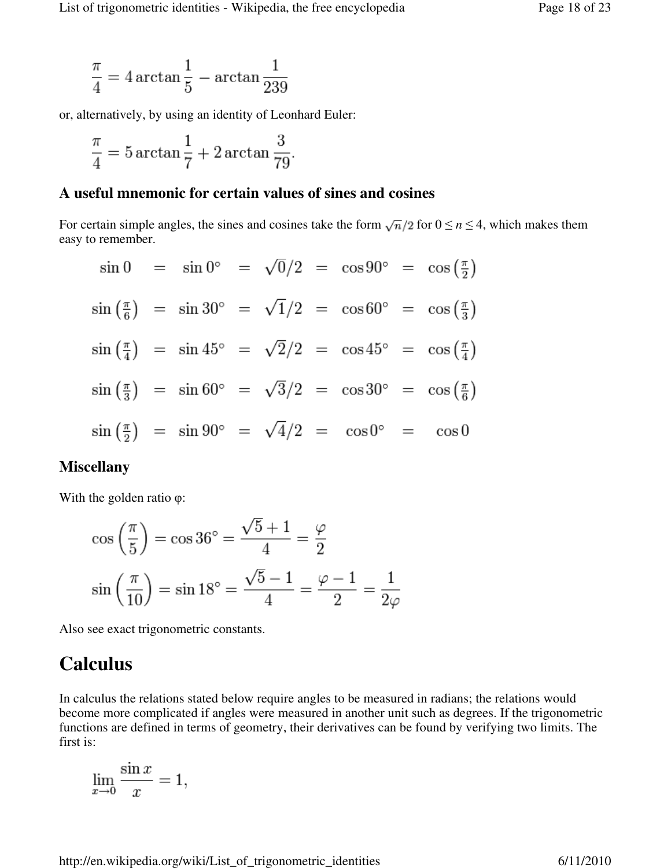$$
\frac{\pi}{4} = 4 \arctan \frac{1}{5} - \arctan \frac{1}{239}
$$

or, alternatively, by using an identity of Leonhard Euler:

$$
\frac{\pi}{4} = 5 \arctan \frac{1}{7} + 2 \arctan \frac{3}{79}.
$$

#### **A useful mnemonic for certain values of sines and cosines**

For certain simple angles, the sines and cosines take the form  $\sqrt{n}/2$  for  $0 \le n \le 4$ , which makes them easy to remember.

$$
\sin 0 = \sin 0^\circ = \sqrt{0}/2 = \cos 90^\circ = \cos \left(\frac{\pi}{2}\right)
$$
\n
$$
\sin \left(\frac{\pi}{6}\right) = \sin 30^\circ = \sqrt{1}/2 = \cos 60^\circ = \cos \left(\frac{\pi}{3}\right)
$$
\n
$$
\sin \left(\frac{\pi}{4}\right) = \sin 45^\circ = \sqrt{2}/2 = \cos 45^\circ = \cos \left(\frac{\pi}{4}\right)
$$
\n
$$
\sin \left(\frac{\pi}{3}\right) = \sin 60^\circ = \sqrt{3}/2 = \cos 30^\circ = \cos \left(\frac{\pi}{6}\right)
$$
\n
$$
\sin \left(\frac{\pi}{2}\right) = \sin 90^\circ = \sqrt{4}/2 = \cos 0^\circ = \cos 0
$$

#### **Miscellany**

With the golden ratio φ:

$$
\cos\left(\frac{\pi}{5}\right) = \cos 36^\circ = \frac{\sqrt{5} + 1}{4} = \frac{\varphi}{2}
$$

$$
\sin\left(\frac{\pi}{10}\right) = \sin 18^\circ = \frac{\sqrt{5} - 1}{4} = \frac{\varphi - 1}{2} = \frac{1}{2\varphi}
$$

Also see exact trigonometric constants.

### **Calculus**

In calculus the relations stated below require angles to be measured in radians; the relations would become more complicated if angles were measured in another unit such as degrees. If the trigonometric functions are defined in terms of geometry, their derivatives can be found by verifying two limits. The first is:

$$
\lim_{x \to 0} \frac{\sin x}{x} = 1,
$$

http://en.wikipedia.org/wiki/List\_of\_trigonometric\_identities 6/11/2010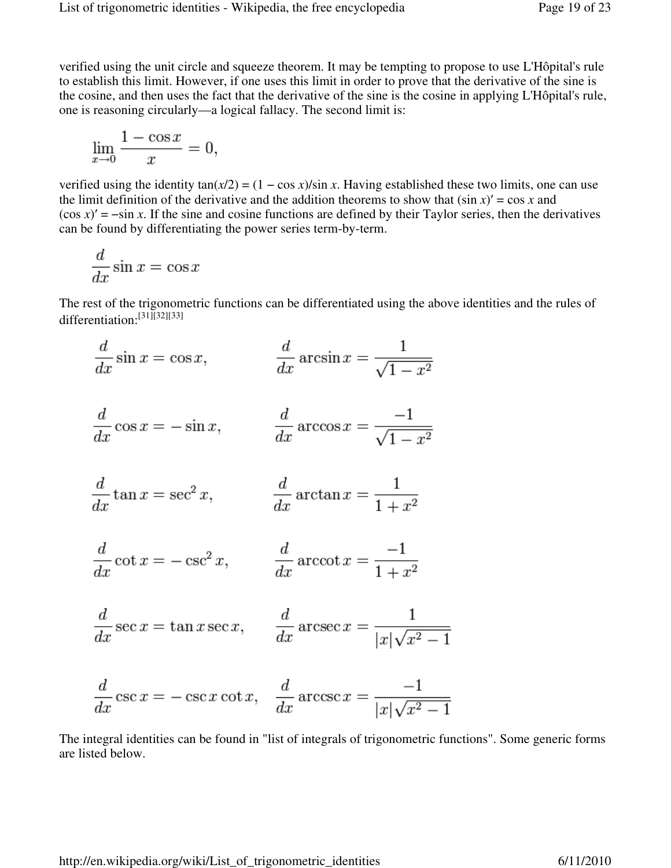verified using the unit circle and squeeze theorem. It may be tempting to propose to use L'Hôpital's rule to establish this limit. However, if one uses this limit in order to prove that the derivative of the sine is the cosine, and then uses the fact that the derivative of the sine is the cosine in applying L'Hôpital's rule, one is reasoning circularly—a logical fallacy. The second limit is:

$$
\lim_{x \to 0} \frac{1 - \cos x}{x} = 0,
$$

verified using the identity  $tan(x/2) = (1 - cos x)/sin x$ . Having established these two limits, one can use the limit definition of the derivative and the addition theorems to show that  $(\sin x)' = \cos x$  and  $(\cos x)' = -\sin x$ . If the sine and cosine functions are defined by their Taylor series, then the derivatives can be found by differentiating the power series term-by-term.

$$
\frac{d}{dx}\sin x = \cos x
$$

The rest of the trigonometric functions can be differentiated using the above identities and the rules of differentiation: [31][32][33]

$$
\frac{d}{dx}\sin x = \cos x, \qquad \qquad \frac{d}{dx}\arcsin x = \frac{1}{\sqrt{1-x^2}}
$$

$$
\frac{d}{dx}\cos x = -\sin x, \qquad \frac{d}{dx}\arccos x = \frac{-1}{\sqrt{1-x^2}}
$$

$$
\frac{d}{dx}\tan x = \sec^2 x, \qquad \qquad \frac{d}{dx}\arctan x = \frac{1}{1+x^2}
$$

$$
\frac{d}{dx}\cot x = -\csc^2 x, \qquad \frac{d}{dx}\operatorname{arccot} x = \frac{-1}{1+x^2}
$$

$$
\frac{d}{dx}\sec x = \tan x \sec x, \qquad \frac{d}{dx}\operatorname{arcsec} x = \frac{1}{|x|\sqrt{x^2 - 1}}
$$

$$
\frac{d}{dx}\csc x = -\csc x \cot x, \quad \frac{d}{dx}\arccsc x = \frac{-1}{|x|\sqrt{x^2 - 1}}
$$

The integral identities can be found in "list of integrals of trigonometric functions". Some generic forms are listed below.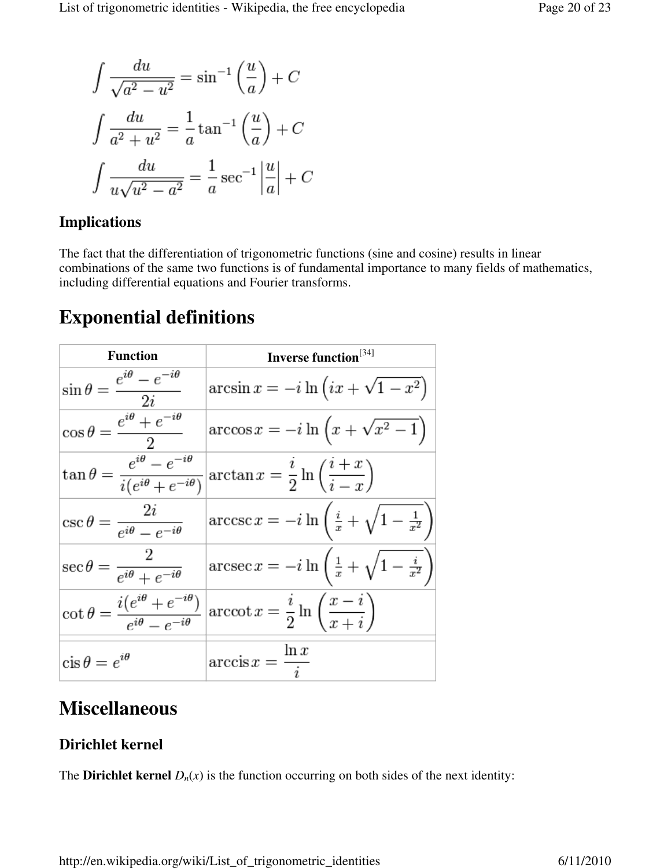$$
\int \frac{du}{\sqrt{a^2 - u^2}} = \sin^{-1}\left(\frac{u}{a}\right) + C
$$

$$
\int \frac{du}{a^2 + u^2} = \frac{1}{a}\tan^{-1}\left(\frac{u}{a}\right) + C
$$

$$
\int \frac{du}{u\sqrt{u^2 - a^2}} = \frac{1}{a}\sec^{-1}\left|\frac{u}{a}\right| + C
$$

### **Implications**

The fact that the differentiation of trigonometric functions (sine and cosine) results in linear combinations of the same two functions is of fundamental importance to many fields of mathematics, including differential equations and Fourier transforms.

# **Exponential definitions**

| <b>Function</b>                                                                  | Inverse function <sup>[34]</sup>                                                         |
|----------------------------------------------------------------------------------|------------------------------------------------------------------------------------------|
| $\sin \theta = \frac{e^{i\theta} - e^{-i\theta}}{2i}$                            | $arcsin x = -i \ln \left( ix + \sqrt{1-x^2} \right)$                                     |
| $\cos\theta = \frac{e^{i\theta} + e^{-i\theta}}{2}$                              | $\arccos x = -i \ln \left( x + \sqrt{x^2 - 1} \right)$                                   |
| $\tan \theta = \frac{e^{i\theta} - e^{-i\theta}}{i(e^{i\theta} + e^{-i\theta})}$ | $\arctan x = \frac{i}{2} \ln \left( \frac{i+x}{i-x} \right)$                             |
| $\csc \theta = \frac{2i}{e^{i\theta} - e^{-i\theta}}$                            | $\arccsc x = -i \ln \left( \frac{i}{x} + \sqrt{1 - \frac{1}{x^2}} \right)$               |
| $\sec \theta = \frac{2}{e^{i\theta} + e^{-i\theta}}$                             | $\operatorname{arcsec} x = -i \ln \left( \frac{1}{x} + \sqrt{1 - \frac{i}{x^2}} \right)$ |
| $\cot \theta = \frac{i(e^{i\theta} + e^{-i\theta})}{e^{i\theta} - e^{-i\theta}}$ | $\operatorname{arccot} x = \frac{i}{2} \ln \left( \frac{x - i}{x + i} \right)$           |
| $\operatorname{cis} \theta = e^{i\theta}$                                        | $\arccos x = \frac{\ln x}{i}$                                                            |

# **Miscellaneous**

### **Dirichlet kernel**

The **Dirichlet kernel**  $D_n(x)$  is the function occurring on both sides of the next identity: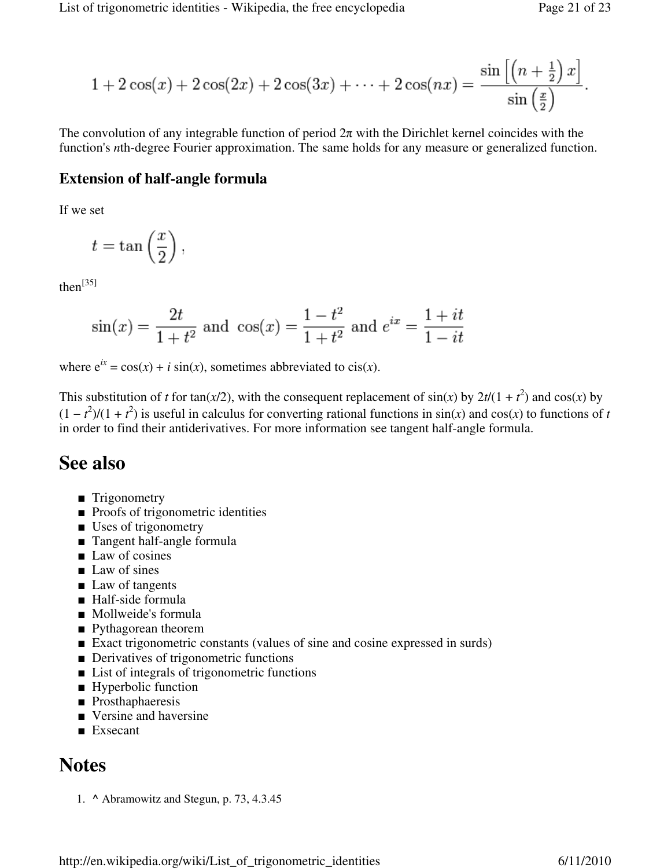$$
1 + 2\cos(x) + 2\cos(2x) + 2\cos(3x) + \dots + 2\cos(nx) = \frac{\sin\left[\left(n + \frac{1}{2}\right)x\right]}{\sin\left(\frac{x}{2}\right)}
$$

The convolution of any integrable function of period  $2\pi$  with the Dirichlet kernel coincides with the function's *n*th-degree Fourier approximation. The same holds for any measure or generalized function.

#### **Extension of half-angle formula**

If we set

$$
t=\tan\left(\frac{x}{2}\right),\,
$$

 $then<sup>[35]</sup>$ 

$$
sin(x) = \frac{2t}{1+t^2}
$$
 and  $cos(x) = \frac{1-t^2}{1+t^2}$  and  $e^{ix} = \frac{1+it}{1-it}$ 

where  $e^{ix} = cos(x) + i sin(x)$ , sometimes abbreviated to cis(*x*).

This substitution of *t* for tan(*x*/2), with the consequent replacement of  $sin(x)$  by  $2t/(1 + t^2)$  and  $cos(x)$  by  $(1 - t^2)/(1 + t^2)$  is useful in calculus for converting rational functions in sin(*x*) and cos(*x*) to functions of *t* in order to find their antiderivatives. For more information see tangent half-angle formula.

### **See also**

- Trigonometry
- Proofs of trigonometric identities
- Uses of trigonometry
- Tangent half-angle formula
- Law of cosines
- Law of sines
- Law of tangents
- Half-side formula
- Mollweide's formula
- Pythagorean theorem
- Exact trigonometric constants (values of sine and cosine expressed in surds)
- Derivatives of trigonometric functions
- List of integrals of trigonometric functions
- Hyperbolic function
- Prosthaphaeresis
- Versine and haversine
- Exsecant

### **Notes**

1. **^** Abramowitz and Stegun, p. 73, 4.3.45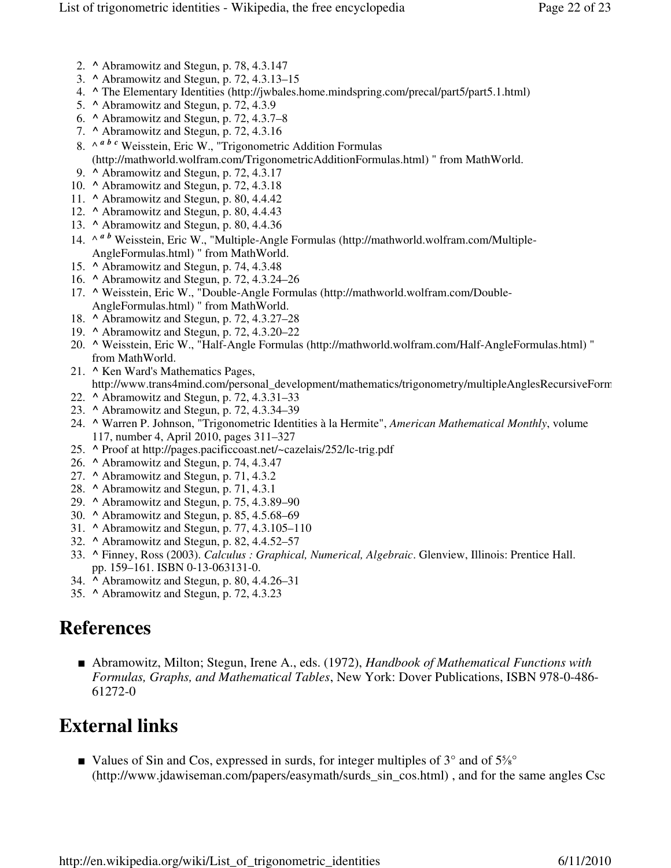- 2. **^** Abramowitz and Stegun, p. 78, 4.3.147
- 3. **^** Abramowitz and Stegun, p. 72, 4.3.13–15
- 4. **^** The Elementary Identities (http://jwbales.home.mindspring.com/precal/part5/part5.1.html)
- 5. **^** Abramowitz and Stegun, p. 72, 4.3.9
- 6. **^** Abramowitz and Stegun, p. 72, 4.3.7–8
- 7. **^** Abramowitz and Stegun, p. 72, 4.3.16
- 8. ^ <sup>*a b c*</sup> Weisstein, Eric W., "Trigonometric Addition Formulas (http://mathworld.wolfram.com/TrigonometricAdditionFormulas.html) " from MathWorld.
- 9. **^** Abramowitz and Stegun, p. 72, 4.3.17
- 10. **^** Abramowitz and Stegun, p. 72, 4.3.18
- 11. **^** Abramowitz and Stegun, p. 80, 4.4.42
- 12. **^** Abramowitz and Stegun, p. 80, 4.4.43
- 13. **^** Abramowitz and Stegun, p. 80, 4.4.36
- 14. ^ *a b* Weisstein, Eric W., "Multiple-Angle Formulas (http://mathworld.wolfram.com/Multiple-AngleFormulas.html) " from MathWorld.
- 15. **^** Abramowitz and Stegun, p. 74, 4.3.48
- 16. **^** Abramowitz and Stegun, p. 72, 4.3.24–26
- 17. ^ Weisstein, Eric W., "Double-Angle Formulas (http://mathworld.wolfram.com/Double-AngleFormulas.html) " from MathWorld.
- 18. **^** Abramowitz and Stegun, p. 72, 4.3.27–28
- 19. **^** Abramowitz and Stegun, p. 72, 4.3.20–22
- **^** Weisstein, Eric W., "Half-Angle Formulas (http://mathworld.wolfram.com/Half-AngleFormulas.html) " 20. from MathWorld.
- **^** Ken Ward's Mathematics Pages, 21. http://www.trans4mind.com/personal\_development/mathematics/trigonometry/multipleAnglesRecursiveForm
- 22. **^** Abramowitz and Stegun, p. 72, 4.3.31–33
- 23. **^** Abramowitz and Stegun, p. 72, 4.3.34–39
- **^** Warren P. Johnson, "Trigonometric Identities à la Hermite", *American Mathematical Monthly*, volume 24. 117, number 4, April 2010, pages 311–327
- 25. **^** Proof at http://pages.pacificcoast.net/~cazelais/252/lc-trig.pdf
- 26. **^** Abramowitz and Stegun, p. 74, 4.3.47
- 27. **^** Abramowitz and Stegun, p. 71, 4.3.2
- 28. **^** Abramowitz and Stegun, p. 71, 4.3.1
- 29. **^** Abramowitz and Stegun, p. 75, 4.3.89–90
- 30. **^** Abramowitz and Stegun, p. 85, 4.5.68–69
- 31. **^** Abramowitz and Stegun, p. 77, 4.3.105–110
- 32. **^** Abramowitz and Stegun, p. 82, 4.4.52–57
- **^** Finney, Ross (2003). *Calculus : Graphical, Numerical, Algebraic*. Glenview, Illinois: Prentice Hall. 33. pp. 159–161. ISBN 0-13-063131-0.
- 34. **^** Abramowitz and Stegun, p. 80, 4.4.26–31
- 35. **^** Abramowitz and Stegun, p. 72, 4.3.23

# **References**

■ Abramowitz, Milton; Stegun, Irene A., eds. (1972), *Handbook of Mathematical Functions with Formulas, Graphs, and Mathematical Tables*, New York: Dover Publications, ISBN 978-0-486- 61272-0

# **External links**

■ Values of Sin and Cos, expressed in surds, for integer multiples of 3<sup>°</sup> and of 5<sup>*%*</sup> (http://www.jdawiseman.com/papers/easymath/surds\_sin\_cos.html) , and for the same angles Csc